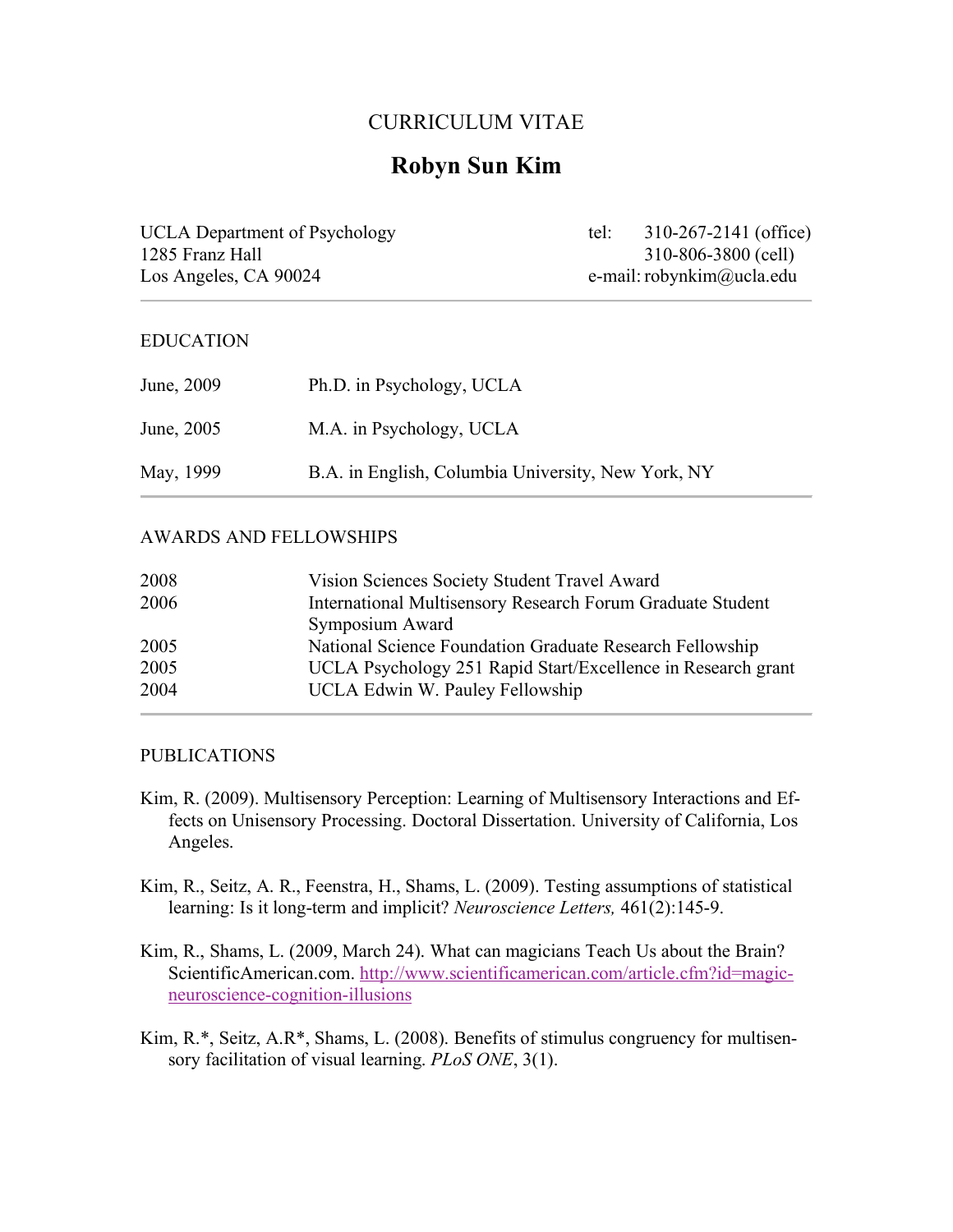## CURRICULUM VITAE

# **Robyn Sun Kim**

UCLA Department of Psychology tel: 310-267-2141 (office) 1285 Franz Hall 310-806-3800 (cell) Los Angeles, CA 90024 e-mail: robynkim@ucla.edu

#### EDUCATION

| June, 2009 | Ph.D. in Psychology, UCLA                          |
|------------|----------------------------------------------------|
| June, 2005 | M.A. in Psychology, UCLA                           |
| May, 1999  | B.A. in English, Columbia University, New York, NY |

#### AWARDS AND FELLOWSHIPS

| 2008 | Vision Sciences Society Student Travel Award                 |
|------|--------------------------------------------------------------|
| 2006 | International Multisensory Research Forum Graduate Student   |
|      | Symposium Award                                              |
| 2005 | National Science Foundation Graduate Research Fellowship     |
| 2005 | UCLA Psychology 251 Rapid Start/Excellence in Research grant |
| 2004 | UCLA Edwin W. Pauley Fellowship                              |
|      |                                                              |

#### PUBLICATIONS

- Kim, R. (2009). Multisensory Perception: Learning of Multisensory Interactions and Effects on Unisensory Processing. Doctoral Dissertation. University of California, Los Angeles.
- Kim, R., Seitz, A. R., Feenstra, H., Shams, L. (2009). Testing assumptions of statistical learning: Is it long-term and implicit? *Neuroscience Letters,* 461(2):145-9.
- Kim, R., Shams, L. (2009, March 24). What can magicians Teach Us about the Brain? ScientificAmerican.com. http://www.scientificamerican.com/article.cfm?id=magicneuroscience-cognition-illusions
- Kim, R.\*, Seitz, A.R\*, Shams, L. (2008). Benefits of stimulus congruency for multisensory facilitation of visual learning. *PLoS ONE*, 3(1).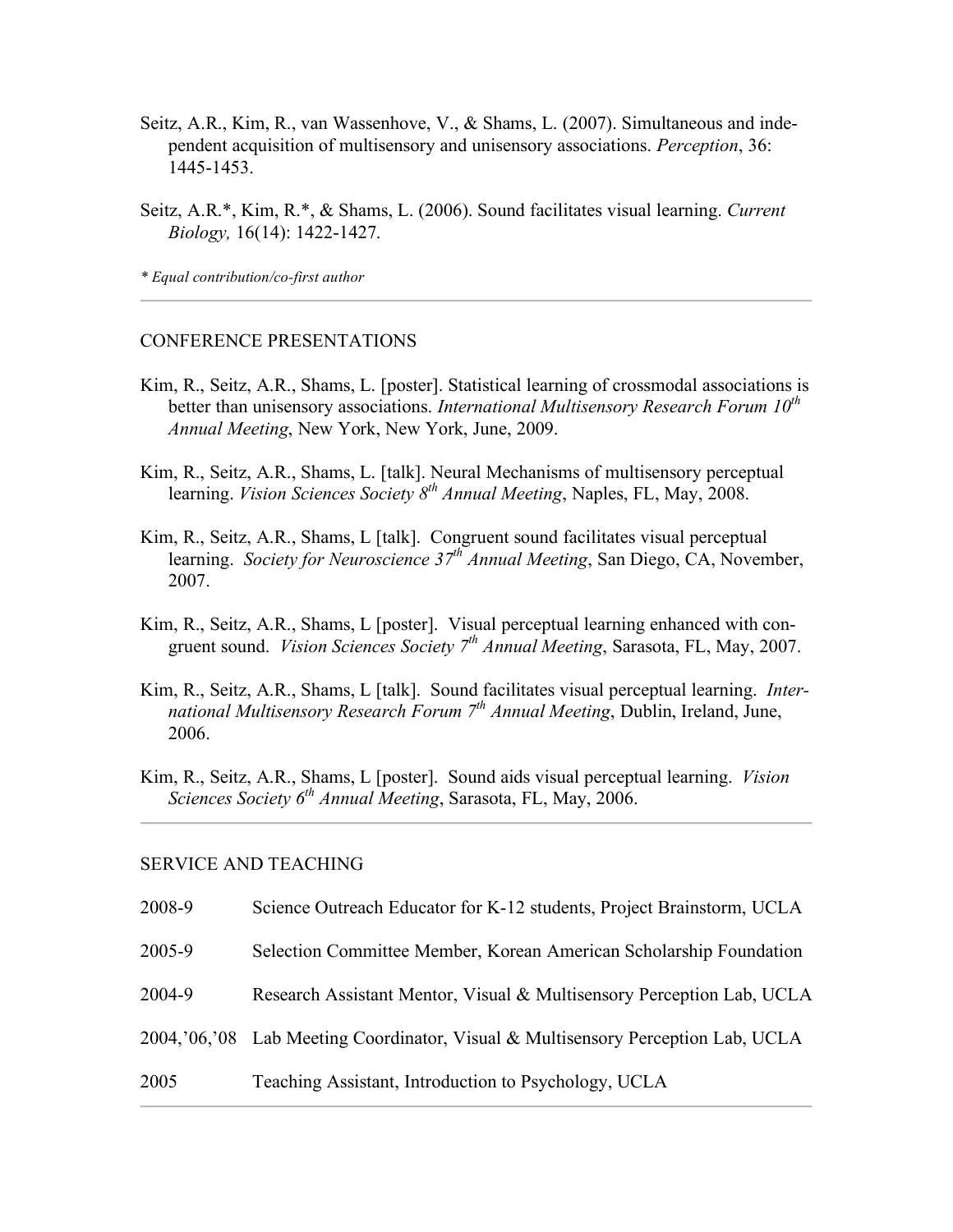- Seitz, A.R., Kim, R., van Wassenhove, V., & Shams, L. (2007). Simultaneous and independent acquisition of multisensory and unisensory associations. *Perception*, 36: 1445-1453.
- Seitz, A.R.\*, Kim, R.\*, & Shams, L. (2006). Sound facilitates visual learning. *Current Biology,* 16(14): 1422-1427.

*\* Equal contribution/co-first author*

#### CONFERENCE PRESENTATIONS

- Kim, R., Seitz, A.R., Shams, L. [poster]. Statistical learning of crossmodal associations is better than unisensory associations. *International Multisensory Research Forum 10th Annual Meeting*, New York, New York, June, 2009.
- Kim, R., Seitz, A.R., Shams, L. [talk]. Neural Mechanisms of multisensory perceptual learning. *Vision Sciences Society 8th Annual Meeting*, Naples, FL, May, 2008.
- Kim, R., Seitz, A.R., Shams, L [talk]. Congruent sound facilitates visual perceptual learning. *Society for Neuroscience 37th Annual Meeting*, San Diego, CA, November, 2007.
- Kim, R., Seitz, A.R., Shams, L [poster]. Visual perceptual learning enhanced with congruent sound. *Vision Sciences Society 7th Annual Meeting*, Sarasota, FL, May, 2007.
- Kim, R., Seitz, A.R., Shams, L [talk]. Sound facilitates visual perceptual learning. *International Multisensory Research Forum 7th Annual Meeting*, Dublin, Ireland, June, 2006.
- Kim, R., Seitz, A.R., Shams, L [poster]. Sound aids visual perceptual learning. *Vision Sciences Society 6th Annual Meeting*, Sarasota, FL, May, 2006.

#### SERVICE AND TEACHING

- 2008-9 Science Outreach Educator for K-12 students, Project Brainstorm, UCLA
- 2005-9 Selection Committee Member, Korean American Scholarship Foundation
- 2004-9 Research Assistant Mentor, Visual & Multisensory Perception Lab, UCLA
- 2004,'06,'08 Lab Meeting Coordinator, Visual & Multisensory Perception Lab, UCLA
- 2005 Teaching Assistant, Introduction to Psychology, UCLA